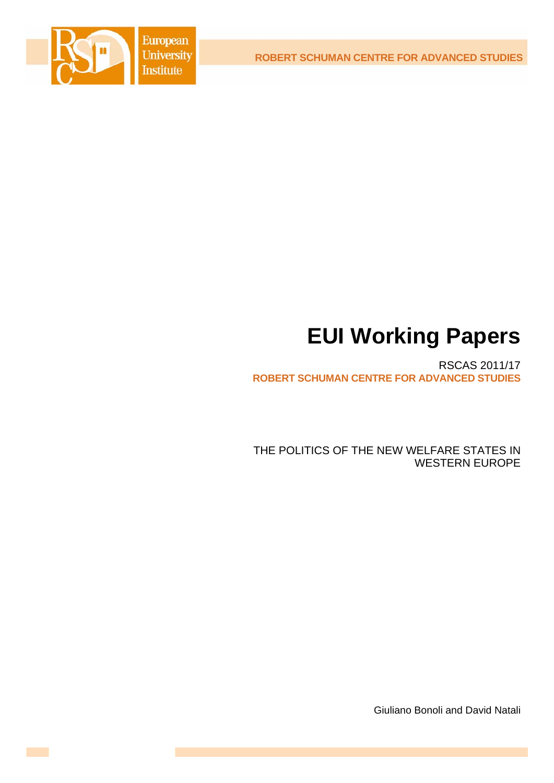

# **EUI Working Papers**

RSCAS 2011/17 **ROBERT SCHUMAN CENTRE FOR ADVANCED STUDIES**

THE POLITICS OF THE NEW WELFARE STATES IN WESTERN EUROPE

Giuliano Bonoli and David Natali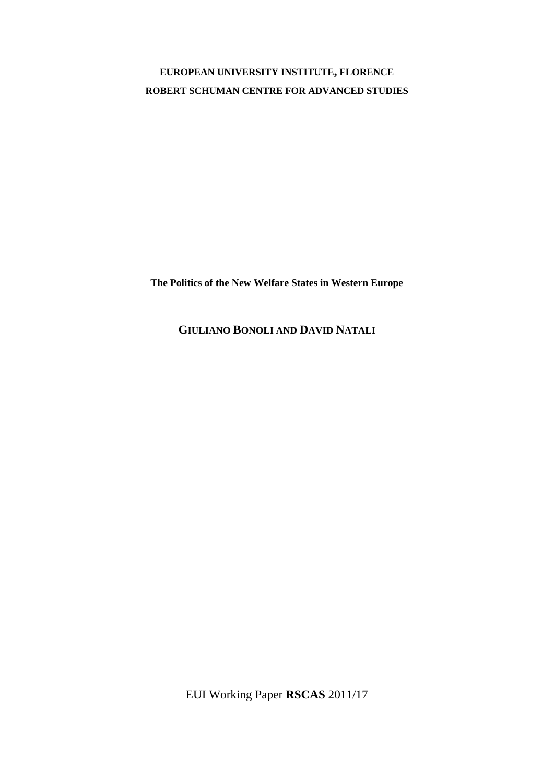## **EUROPEAN UNIVERSITY INSTITUTE, FLORENCE ROBERT SCHUMAN CENTRE FOR ADVANCED STUDIES**

**The Politics of the New Welfare States in Western Europe** 

**GIULIANO BONOLI AND DAVID NATALI**

EUI Working Paper **RSCAS** 2011/17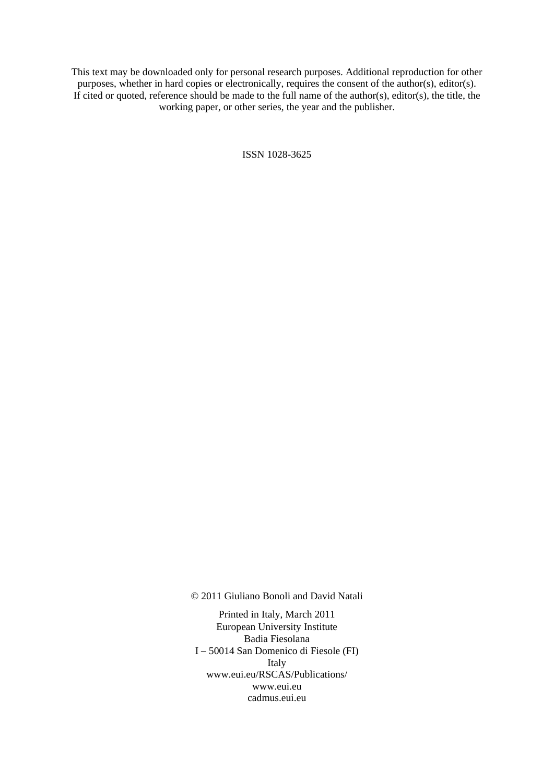This text may be downloaded only for personal research purposes. Additional reproduction for other purposes, whether in hard copies or electronically, requires the consent of the author(s), editor(s). If cited or quoted, reference should be made to the full name of the author(s), editor(s), the title, the working paper, or other series, the year and the publisher.

ISSN 1028-3625

© 2011 Giuliano Bonoli and David Natali

Printed in Italy, March 2011 European University Institute Badia Fiesolana I – 50014 San Domenico di Fiesole (FI) Italy [www.eui.eu/RSCAS/Publications/](http://www.eui.eu/RSCAS/Publications/)  [www.eui.eu](http://www.eui.eu)  cadmus.eui.eu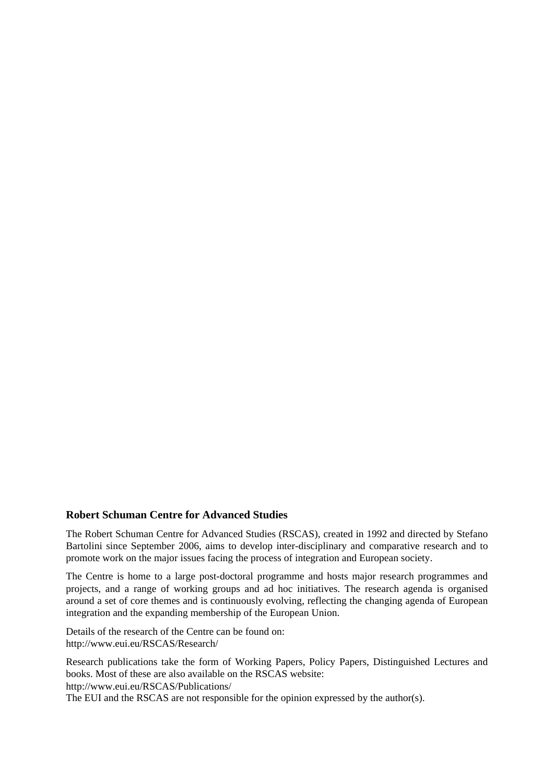## **Robert Schuman Centre for Advanced Studies**

The Robert Schuman Centre for Advanced Studies (RSCAS), created in 1992 and directed by Stefano Bartolini since September 2006, aims to develop inter-disciplinary and comparative research and to promote work on the major issues facing the process of integration and European society.

The Centre is home to a large post-doctoral programme and hosts major research programmes and projects, and a range of working groups and ad hoc initiatives. The research agenda is organised around a set of core themes and is continuously evolving, reflecting the changing agenda of European integration and the expanding membership of the European Union.

Details of the research of the Centre can be found on: <http://www.eui.eu/RSCAS/Research/>

Research publications take the form of Working Papers, Policy Papers, Distinguished Lectures and books. Most of these are also available on the RSCAS website: <http://www.eui.eu/RSCAS/Publications/> The EUI and the RSCAS are not responsible for the opinion expressed by the author(s).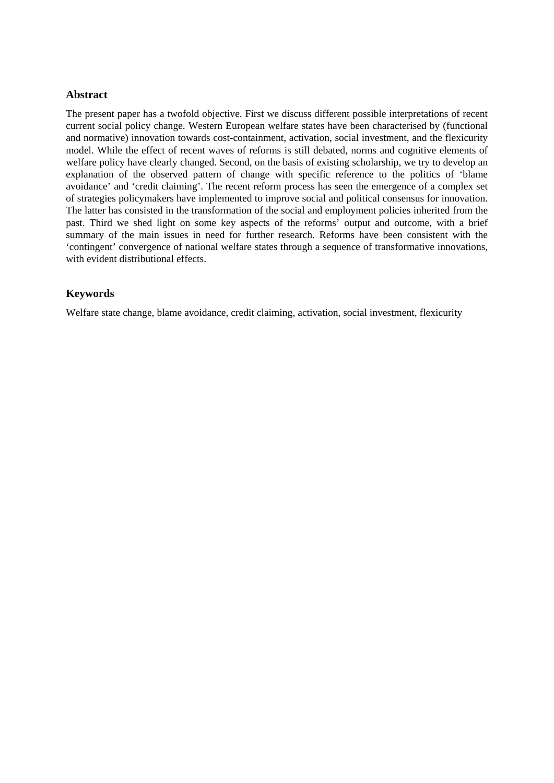## **Abstract**

The present paper has a twofold objective. First we discuss different possible interpretations of recent current social policy change. Western European welfare states have been characterised by (functional and normative) innovation towards cost-containment, activation, social investment, and the flexicurity model. While the effect of recent waves of reforms is still debated, norms and cognitive elements of welfare policy have clearly changed. Second, on the basis of existing scholarship, we try to develop an explanation of the observed pattern of change with specific reference to the politics of 'blame avoidance' and 'credit claiming'. The recent reform process has seen the emergence of a complex set of strategies policymakers have implemented to improve social and political consensus for innovation. The latter has consisted in the transformation of the social and employment policies inherited from the past. Third we shed light on some key aspects of the reforms' output and outcome, with a brief summary of the main issues in need for further research. Reforms have been consistent with the 'contingent' convergence of national welfare states through a sequence of transformative innovations, with evident distributional effects.

## **Keywords**

Welfare state change, blame avoidance, credit claiming, activation, social investment, flexicurity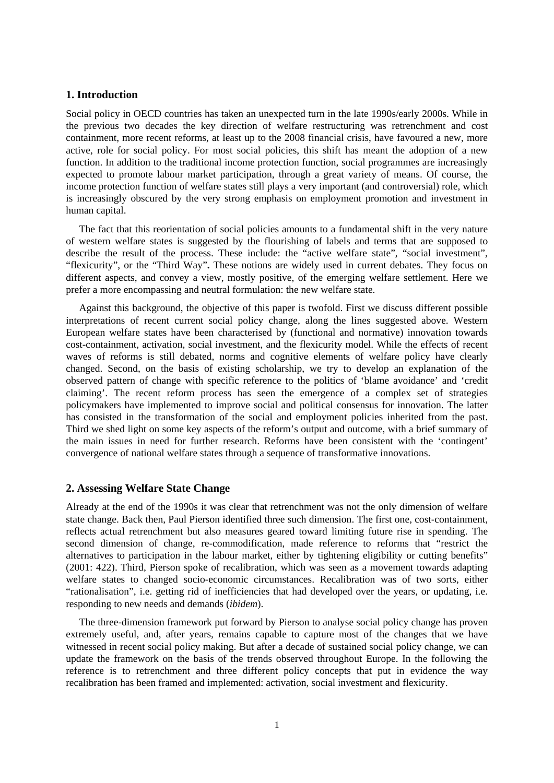## **1. Introduction**

Social policy in OECD countries has taken an unexpected turn in the late 1990s/early 2000s. While in the previous two decades the key direction of welfare restructuring was retrenchment and cost containment, more recent reforms, at least up to the 2008 financial crisis, have favoured a new, more active, role for social policy. For most social policies, this shift has meant the adoption of a new function. In addition to the traditional income protection function, social programmes are increasingly expected to promote labour market participation, through a great variety of means. Of course, the income protection function of welfare states still plays a very important (and controversial) role, which is increasingly obscured by the very strong emphasis on employment promotion and investment in human capital.

The fact that this reorientation of social policies amounts to a fundamental shift in the very nature of western welfare states is suggested by the flourishing of labels and terms that are supposed to describe the result of the process. These include: the "active welfare state", "social investment", "flexicurity", or the "Third Way"**.** These notions are widely used in current debates. They focus on different aspects, and convey a view, mostly positive, of the emerging welfare settlement. Here we prefer a more encompassing and neutral formulation: the new welfare state.

Against this background, the objective of this paper is twofold. First we discuss different possible interpretations of recent current social policy change, along the lines suggested above. Western European welfare states have been characterised by (functional and normative) innovation towards cost-containment, activation, social investment, and the flexicurity model. While the effects of recent waves of reforms is still debated, norms and cognitive elements of welfare policy have clearly changed. Second, on the basis of existing scholarship, we try to develop an explanation of the observed pattern of change with specific reference to the politics of 'blame avoidance' and 'credit claiming'. The recent reform process has seen the emergence of a complex set of strategies policymakers have implemented to improve social and political consensus for innovation. The latter has consisted in the transformation of the social and employment policies inherited from the past. Third we shed light on some key aspects of the reform's output and outcome, with a brief summary of the main issues in need for further research. Reforms have been consistent with the 'contingent' convergence of national welfare states through a sequence of transformative innovations.

## **2. Assessing Welfare State Change**

Already at the end of the 1990s it was clear that retrenchment was not the only dimension of welfare state change. Back then, Paul Pierson identified three such dimension. The first one, cost-containment, reflects actual retrenchment but also measures geared toward limiting future rise in spending. The second dimension of change, re-commodification, made reference to reforms that "restrict the alternatives to participation in the labour market, either by tightening eligibility or cutting benefits" (2001: 422). Third, Pierson spoke of recalibration, which was seen as a movement towards adapting welfare states to changed socio-economic circumstances. Recalibration was of two sorts, either "rationalisation", i.e. getting rid of inefficiencies that had developed over the years, or updating, i.e. responding to new needs and demands (*ibidem*).

The three-dimension framework put forward by Pierson to analyse social policy change has proven extremely useful, and, after years, remains capable to capture most of the changes that we have witnessed in recent social policy making. But after a decade of sustained social policy change, we can update the framework on the basis of the trends observed throughout Europe. In the following the reference is to retrenchment and three different policy concepts that put in evidence the way recalibration has been framed and implemented: activation, social investment and flexicurity.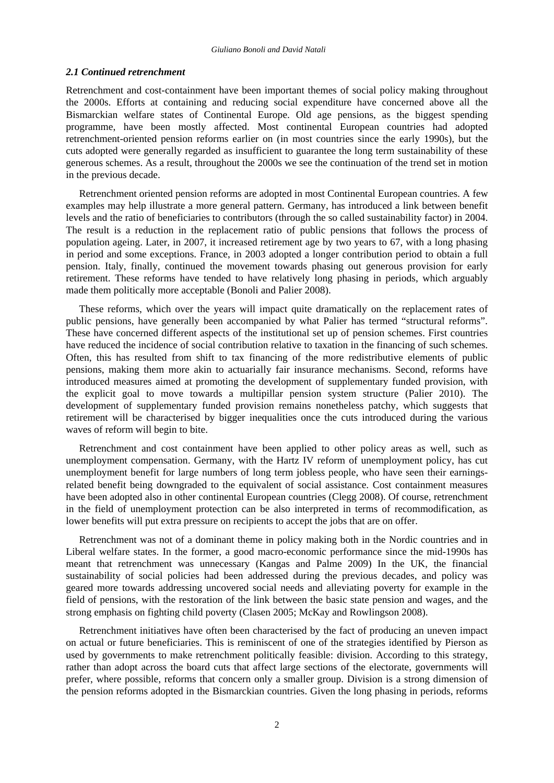### *2.1 Continued retrenchment*

Retrenchment and cost-containment have been important themes of social policy making throughout the 2000s. Efforts at containing and reducing social expenditure have concerned above all the Bismarckian welfare states of Continental Europe. Old age pensions, as the biggest spending programme, have been mostly affected. Most continental European countries had adopted retrenchment-oriented pension reforms earlier on (in most countries since the early 1990s), but the cuts adopted were generally regarded as insufficient to guarantee the long term sustainability of these generous schemes. As a result, throughout the 2000s we see the continuation of the trend set in motion in the previous decade.

Retrenchment oriented pension reforms are adopted in most Continental European countries. A few examples may help illustrate a more general pattern. Germany, has introduced a link between benefit levels and the ratio of beneficiaries to contributors (through the so called sustainability factor) in 2004. The result is a reduction in the replacement ratio of public pensions that follows the process of population ageing. Later, in 2007, it increased retirement age by two years to 67, with a long phasing in period and some exceptions. France, in 2003 adopted a longer contribution period to obtain a full pension. Italy, finally, continued the movement towards phasing out generous provision for early retirement. These reforms have tended to have relatively long phasing in periods, which arguably made them politically more acceptable (Bonoli and Palier 2008).

These reforms, which over the years will impact quite dramatically on the replacement rates of public pensions, have generally been accompanied by what Palier has termed "structural reforms". These have concerned different aspects of the institutional set up of pension schemes. First countries have reduced the incidence of social contribution relative to taxation in the financing of such schemes. Often, this has resulted from shift to tax financing of the more redistributive elements of public pensions, making them more akin to actuarially fair insurance mechanisms. Second, reforms have introduced measures aimed at promoting the development of supplementary funded provision, with the explicit goal to move towards a multipillar pension system structure (Palier 2010). The development of supplementary funded provision remains nonetheless patchy, which suggests that retirement will be characterised by bigger inequalities once the cuts introduced during the various waves of reform will begin to bite.

Retrenchment and cost containment have been applied to other policy areas as well, such as unemployment compensation. Germany, with the Hartz IV reform of unemployment policy, has cut unemployment benefit for large numbers of long term jobless people, who have seen their earningsrelated benefit being downgraded to the equivalent of social assistance. Cost containment measures have been adopted also in other continental European countries (Clegg 2008). Of course, retrenchment in the field of unemployment protection can be also interpreted in terms of recommodification, as lower benefits will put extra pressure on recipients to accept the jobs that are on offer.

Retrenchment was not of a dominant theme in policy making both in the Nordic countries and in Liberal welfare states. In the former, a good macro-economic performance since the mid-1990s has meant that retrenchment was unnecessary (Kangas and Palme 2009) In the UK, the financial sustainability of social policies had been addressed during the previous decades, and policy was geared more towards addressing uncovered social needs and alleviating poverty for example in the field of pensions, with the restoration of the link between the basic state pension and wages, and the strong emphasis on fighting child poverty (Clasen 2005; McKay and Rowlingson 2008).

Retrenchment initiatives have often been characterised by the fact of producing an uneven impact on actual or future beneficiaries. This is reminiscent of one of the strategies identified by Pierson as used by governments to make retrenchment politically feasible: division. According to this strategy, rather than adopt across the board cuts that affect large sections of the electorate, governments will prefer, where possible, reforms that concern only a smaller group. Division is a strong dimension of the pension reforms adopted in the Bismarckian countries. Given the long phasing in periods, reforms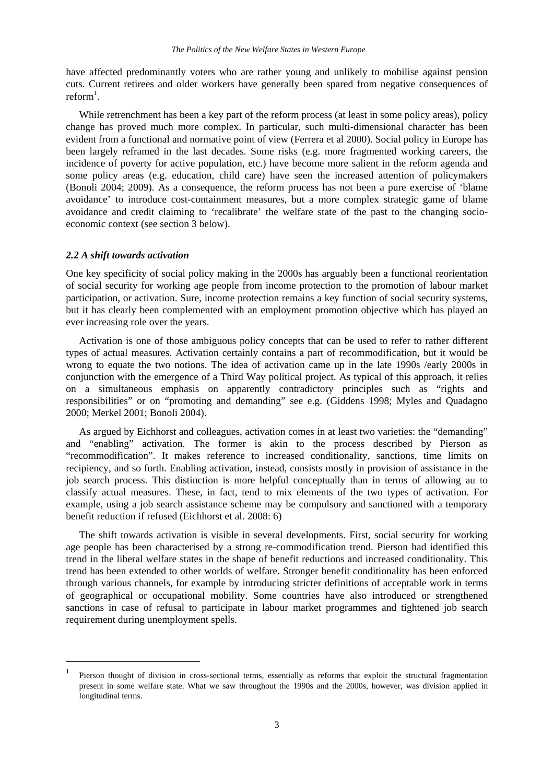have affected predominantly voters who are rather young and unlikely to mobilise against pension cuts. Current retirees and older workers have generally been spared from negative consequences of  $reform<sup>1</sup>$ .

While retrenchment has been a key part of the reform process (at least in some policy areas), policy change has proved much more complex. In particular, such multi-dimensional character has been evident from a functional and normative point of view (Ferrera et al 2000). Social policy in Europe has been largely reframed in the last decades. Some risks (e.g. more fragmented working careers, the incidence of poverty for active population, etc.) have become more salient in the reform agenda and some policy areas (e.g. education, child care) have seen the increased attention of policymakers (Bonoli 2004; 2009). As a consequence, the reform process has not been a pure exercise of 'blame avoidance' to introduce cost-containment measures, but a more complex strategic game of blame avoidance and credit claiming to 'recalibrate' the welfare state of the past to the changing socioeconomic context (see section 3 below).

#### *2.2 A shift towards activation*

1

One key specificity of social policy making in the 2000s has arguably been a functional reorientation of social security for working age people from income protection to the promotion of labour market participation, or activation. Sure, income protection remains a key function of social security systems, but it has clearly been complemented with an employment promotion objective which has played an ever increasing role over the years.

Activation is one of those ambiguous policy concepts that can be used to refer to rather different types of actual measures. Activation certainly contains a part of recommodification, but it would be wrong to equate the two notions. The idea of activation came up in the late 1990s /early 2000s in conjunction with the emergence of a Third Way political project. As typical of this approach, it relies on a simultaneous emphasis on apparently contradictory principles such as "rights and responsibilities" or on "promoting and demanding" see e.g. (Giddens 1998; Myles and Quadagno 2000; Merkel 2001; Bonoli 2004).

As argued by Eichhorst and colleagues, activation comes in at least two varieties: the "demanding" and "enabling" activation. The former is akin to the process described by Pierson as "recommodification". It makes reference to increased conditionality, sanctions, time limits on recipiency, and so forth. Enabling activation, instead, consists mostly in provision of assistance in the job search process. This distinction is more helpful conceptually than in terms of allowing au to classify actual measures. These, in fact, tend to mix elements of the two types of activation. For example, using a job search assistance scheme may be compulsory and sanctioned with a temporary benefit reduction if refused (Eichhorst et al. 2008: 6)

The shift towards activation is visible in several developments. First, social security for working age people has been characterised by a strong re-commodification trend. Pierson had identified this trend in the liberal welfare states in the shape of benefit reductions and increased conditionality. This trend has been extended to other worlds of welfare. Stronger benefit conditionality has been enforced through various channels, for example by introducing stricter definitions of acceptable work in terms of geographical or occupational mobility. Some countries have also introduced or strengthened sanctions in case of refusal to participate in labour market programmes and tightened job search requirement during unemployment spells.

<sup>1</sup> Pierson thought of division in cross-sectional terms, essentially as reforms that exploit the structural fragmentation present in some welfare state. What we saw throughout the 1990s and the 2000s, however, was division applied in longitudinal terms.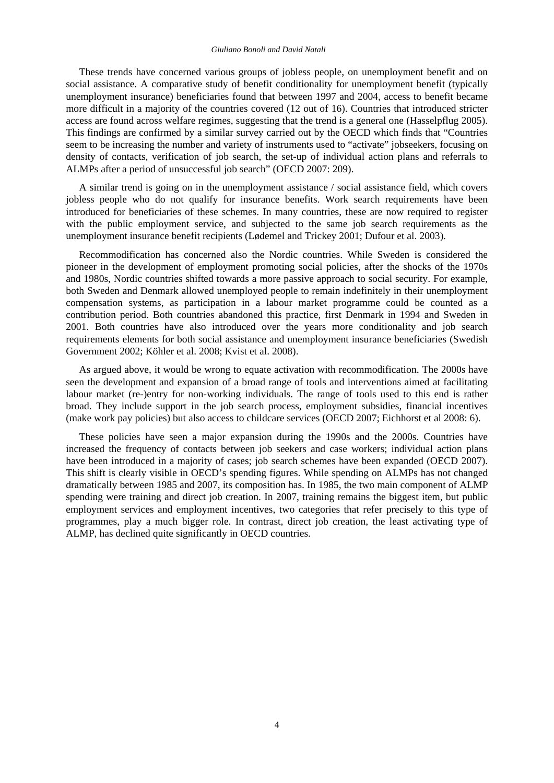#### *Giuliano Bonoli and David Natali*

These trends have concerned various groups of jobless people, on unemployment benefit and on social assistance. A comparative study of benefit conditionality for unemployment benefit (typically unemployment insurance) beneficiaries found that between 1997 and 2004, access to benefit became more difficult in a majority of the countries covered (12 out of 16). Countries that introduced stricter access are found across welfare regimes, suggesting that the trend is a general one (Hasselpflug 2005). This findings are confirmed by a similar survey carried out by the OECD which finds that "Countries seem to be increasing the number and variety of instruments used to "activate" jobseekers, focusing on density of contacts, verification of job search, the set-up of individual action plans and referrals to ALMPs after a period of unsuccessful job search" (OECD 2007: 209).

A similar trend is going on in the unemployment assistance / social assistance field, which covers jobless people who do not qualify for insurance benefits. Work search requirements have been introduced for beneficiaries of these schemes. In many countries, these are now required to register with the public employment service, and subjected to the same job search requirements as the unemployment insurance benefit recipients (Lødemel and Trickey 2001; Dufour et al. 2003).

Recommodification has concerned also the Nordic countries. While Sweden is considered the pioneer in the development of employment promoting social policies, after the shocks of the 1970s and 1980s, Nordic countries shifted towards a more passive approach to social security. For example, both Sweden and Denmark allowed unemployed people to remain indefinitely in their unemployment compensation systems, as participation in a labour market programme could be counted as a contribution period. Both countries abandoned this practice, first Denmark in 1994 and Sweden in 2001. Both countries have also introduced over the years more conditionality and job search requirements elements for both social assistance and unemployment insurance beneficiaries (Swedish Government 2002; Köhler et al. 2008; Kvist et al. 2008).

As argued above, it would be wrong to equate activation with recommodification. The 2000s have seen the development and expansion of a broad range of tools and interventions aimed at facilitating labour market (re-)entry for non-working individuals. The range of tools used to this end is rather broad. They include support in the job search process, employment subsidies, financial incentives (make work pay policies) but also access to childcare services (OECD 2007; Eichhorst et al 2008: 6).

These policies have seen a major expansion during the 1990s and the 2000s. Countries have increased the frequency of contacts between job seekers and case workers; individual action plans have been introduced in a majority of cases; job search schemes have been expanded (OECD 2007). This shift is clearly visible in OECD's spending figures. While spending on ALMPs has not changed dramatically between 1985 and 2007, its composition has. In 1985, the two main component of ALMP spending were training and direct job creation. In 2007, training remains the biggest item, but public employment services and employment incentives, two categories that refer precisely to this type of programmes, play a much bigger role. In contrast, direct job creation, the least activating type of ALMP, has declined quite significantly in OECD countries.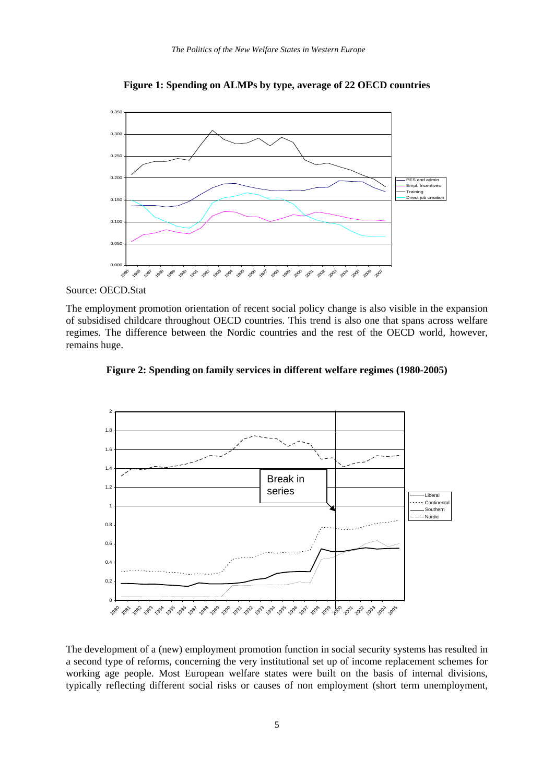

**Figure 1: Spending on ALMPs by type, average of 22 OECD countries** 

Source: OECD.Stat

The employment promotion orientation of recent social policy change is also visible in the expansion of subsidised childcare throughout OECD countries. This trend is also one that spans across welfare regimes. The difference between the Nordic countries and the rest of the OECD world, however, remains huge.





The development of a (new) employment promotion function in social security systems has resulted in a second type of reforms, concerning the very institutional set up of income replacement schemes for working age people. Most European welfare states were built on the basis of internal divisions, typically reflecting different social risks or causes of non employment (short term unemployment,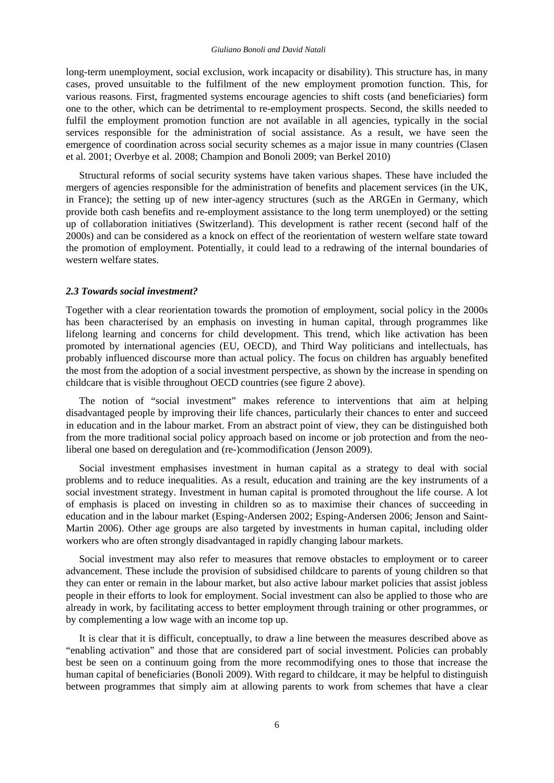long-term unemployment, social exclusion, work incapacity or disability). This structure has, in many cases, proved unsuitable to the fulfilment of the new employment promotion function. This, for various reasons. First, fragmented systems encourage agencies to shift costs (and beneficiaries) form one to the other, which can be detrimental to re-employment prospects. Second, the skills needed to fulfil the employment promotion function are not available in all agencies, typically in the social services responsible for the administration of social assistance. As a result, we have seen the emergence of coordination across social security schemes as a major issue in many countries (Clasen et al. 2001; Overbye et al. 2008; Champion and Bonoli 2009; van Berkel 2010)

Structural reforms of social security systems have taken various shapes. These have included the mergers of agencies responsible for the administration of benefits and placement services (in the UK, in France); the setting up of new inter-agency structures (such as the ARGEn in Germany, which provide both cash benefits and re-employment assistance to the long term unemployed) or the setting up of collaboration initiatives (Switzerland). This development is rather recent (second half of the 2000s) and can be considered as a knock on effect of the reorientation of western welfare state toward the promotion of employment. Potentially, it could lead to a redrawing of the internal boundaries of western welfare states.

#### *2.3 Towards social investment?*

Together with a clear reorientation towards the promotion of employment, social policy in the 2000s has been characterised by an emphasis on investing in human capital, through programmes like lifelong learning and concerns for child development. This trend, which like activation has been promoted by international agencies (EU, OECD), and Third Way politicians and intellectuals, has probably influenced discourse more than actual policy. The focus on children has arguably benefited the most from the adoption of a social investment perspective, as shown by the increase in spending on childcare that is visible throughout OECD countries (see figure 2 above).

The notion of "social investment" makes reference to interventions that aim at helping disadvantaged people by improving their life chances, particularly their chances to enter and succeed in education and in the labour market. From an abstract point of view, they can be distinguished both from the more traditional social policy approach based on income or job protection and from the neoliberal one based on deregulation and (re-)commodification (Jenson 2009).

Social investment emphasises investment in human capital as a strategy to deal with social problems and to reduce inequalities. As a result, education and training are the key instruments of a social investment strategy. Investment in human capital is promoted throughout the life course. A lot of emphasis is placed on investing in children so as to maximise their chances of succeeding in education and in the labour market (Esping-Andersen 2002; Esping-Andersen 2006; Jenson and Saint-Martin 2006). Other age groups are also targeted by investments in human capital, including older workers who are often strongly disadvantaged in rapidly changing labour markets.

Social investment may also refer to measures that remove obstacles to employment or to career advancement. These include the provision of subsidised childcare to parents of young children so that they can enter or remain in the labour market, but also active labour market policies that assist jobless people in their efforts to look for employment. Social investment can also be applied to those who are already in work, by facilitating access to better employment through training or other programmes, or by complementing a low wage with an income top up.

It is clear that it is difficult, conceptually, to draw a line between the measures described above as "enabling activation" and those that are considered part of social investment. Policies can probably best be seen on a continuum going from the more recommodifying ones to those that increase the human capital of beneficiaries (Bonoli 2009). With regard to childcare, it may be helpful to distinguish between programmes that simply aim at allowing parents to work from schemes that have a clear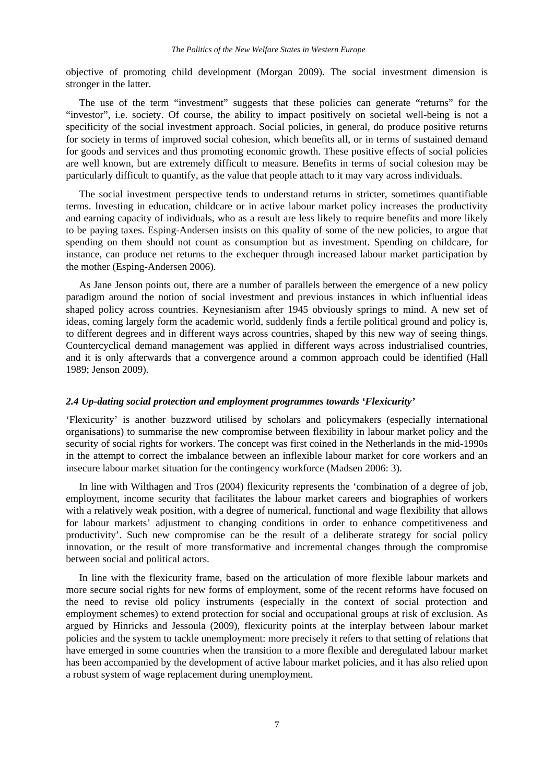objective of promoting child development (Morgan 2009). The social investment dimension is stronger in the latter.

The use of the term "investment" suggests that these policies can generate "returns" for the "investor", i.e. society. Of course, the ability to impact positively on societal well-being is not a specificity of the social investment approach. Social policies, in general, do produce positive returns for society in terms of improved social cohesion, which benefits all, or in terms of sustained demand for goods and services and thus promoting economic growth. These positive effects of social policies are well known, but are extremely difficult to measure. Benefits in terms of social cohesion may be particularly difficult to quantify, as the value that people attach to it may vary across individuals.

The social investment perspective tends to understand returns in stricter, sometimes quantifiable terms. Investing in education, childcare or in active labour market policy increases the productivity and earning capacity of individuals, who as a result are less likely to require benefits and more likely to be paying taxes. Esping-Andersen insists on this quality of some of the new policies, to argue that spending on them should not count as consumption but as investment. Spending on childcare, for instance, can produce net returns to the exchequer through increased labour market participation by the mother (Esping-Andersen 2006).

As Jane Jenson points out, there are a number of parallels between the emergence of a new policy paradigm around the notion of social investment and previous instances in which influential ideas shaped policy across countries. Keynesianism after 1945 obviously springs to mind. A new set of ideas, coming largely form the academic world, suddenly finds a fertile political ground and policy is, to different degrees and in different ways across countries, shaped by this new way of seeing things. Countercyclical demand management was applied in different ways across industrialised countries, and it is only afterwards that a convergence around a common approach could be identified (Hall 1989; Jenson 2009).

## *2.4 Up-dating social protection and employment programmes towards 'Flexicurity'*

'Flexicurity' is another buzzword utilised by scholars and policymakers (especially international organisations) to summarise the new compromise between flexibility in labour market policy and the security of social rights for workers. The concept was first coined in the Netherlands in the mid-1990s in the attempt to correct the imbalance between an inflexible labour market for core workers and an insecure labour market situation for the contingency workforce (Madsen 2006: 3).

In line with Wilthagen and Tros (2004) flexicurity represents the 'combination of a degree of job, employment, income security that facilitates the labour market careers and biographies of workers with a relatively weak position, with a degree of numerical, functional and wage flexibility that allows for labour markets' adjustment to changing conditions in order to enhance competitiveness and productivity'. Such new compromise can be the result of a deliberate strategy for social policy innovation, or the result of more transformative and incremental changes through the compromise between social and political actors.

In line with the flexicurity frame, based on the articulation of more flexible labour markets and more secure social rights for new forms of employment, some of the recent reforms have focused on the need to revise old policy instruments (especially in the context of social protection and employment schemes) to extend protection for social and occupational groups at risk of exclusion. As argued by Hinricks and Jessoula (2009), flexicurity points at the interplay between labour market policies and the system to tackle unemployment: more precisely it refers to that setting of relations that have emerged in some countries when the transition to a more flexible and deregulated labour market has been accompanied by the development of active labour market policies, and it has also relied upon a robust system of wage replacement during unemployment.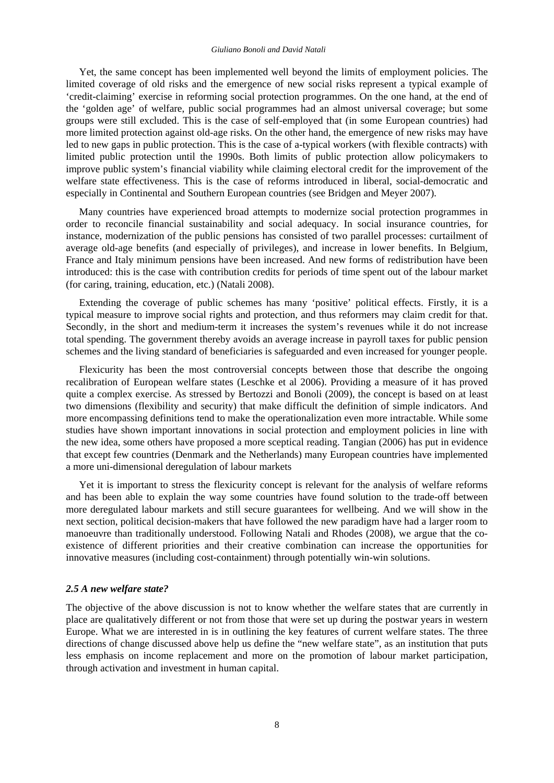#### *Giuliano Bonoli and David Natali*

Yet, the same concept has been implemented well beyond the limits of employment policies. The limited coverage of old risks and the emergence of new social risks represent a typical example of 'credit-claiming' exercise in reforming social protection programmes. On the one hand, at the end of the 'golden age' of welfare, public social programmes had an almost universal coverage; but some groups were still excluded. This is the case of self-employed that (in some European countries) had more limited protection against old-age risks. On the other hand, the emergence of new risks may have led to new gaps in public protection. This is the case of a-typical workers (with flexible contracts) with limited public protection until the 1990s. Both limits of public protection allow policymakers to improve public system's financial viability while claiming electoral credit for the improvement of the welfare state effectiveness. This is the case of reforms introduced in liberal, social-democratic and especially in Continental and Southern European countries (see Bridgen and Meyer 2007).

Many countries have experienced broad attempts to modernize social protection programmes in order to reconcile financial sustainability and social adequacy. In social insurance countries, for instance, modernization of the public pensions has consisted of two parallel processes: curtailment of average old-age benefits (and especially of privileges), and increase in lower benefits. In Belgium, France and Italy minimum pensions have been increased. And new forms of redistribution have been introduced: this is the case with contribution credits for periods of time spent out of the labour market (for caring, training, education, etc.) (Natali 2008).

Extending the coverage of public schemes has many 'positive' political effects. Firstly, it is a typical measure to improve social rights and protection, and thus reformers may claim credit for that. Secondly, in the short and medium-term it increases the system's revenues while it do not increase total spending. The government thereby avoids an average increase in payroll taxes for public pension schemes and the living standard of beneficiaries is safeguarded and even increased for younger people.

Flexicurity has been the most controversial concepts between those that describe the ongoing recalibration of European welfare states (Leschke et al 2006). Providing a measure of it has proved quite a complex exercise. As stressed by Bertozzi and Bonoli (2009), the concept is based on at least two dimensions (flexibility and security) that make difficult the definition of simple indicators. And more encompassing definitions tend to make the operationalization even more intractable. While some studies have shown important innovations in social protection and employment policies in line with the new idea, some others have proposed a more sceptical reading. Tangian (2006) has put in evidence that except few countries (Denmark and the Netherlands) many European countries have implemented a more uni-dimensional deregulation of labour markets

Yet it is important to stress the flexicurity concept is relevant for the analysis of welfare reforms and has been able to explain the way some countries have found solution to the trade-off between more deregulated labour markets and still secure guarantees for wellbeing. And we will show in the next section, political decision-makers that have followed the new paradigm have had a larger room to manoeuvre than traditionally understood. Following Natali and Rhodes (2008), we argue that the coexistence of different priorities and their creative combination can increase the opportunities for innovative measures (including cost-containment) through potentially win-win solutions.

#### *2.5 A new welfare state?*

The objective of the above discussion is not to know whether the welfare states that are currently in place are qualitatively different or not from those that were set up during the postwar years in western Europe. What we are interested in is in outlining the key features of current welfare states. The three directions of change discussed above help us define the "new welfare state", as an institution that puts less emphasis on income replacement and more on the promotion of labour market participation, through activation and investment in human capital.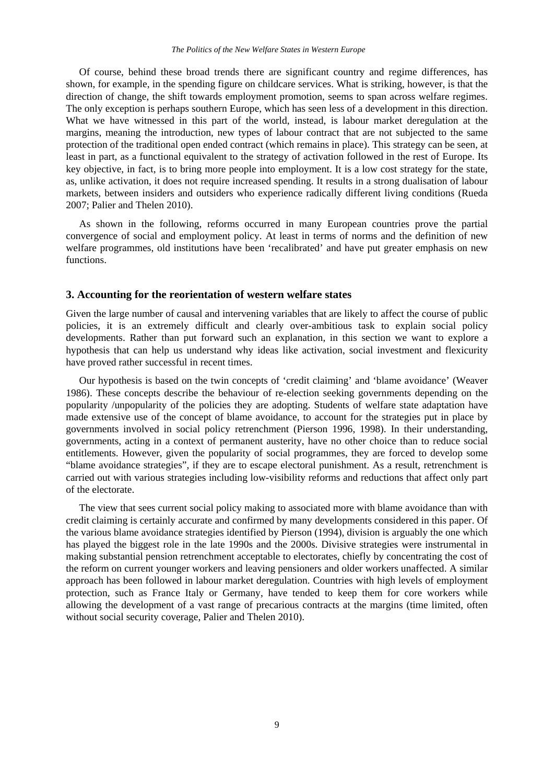Of course, behind these broad trends there are significant country and regime differences, has shown, for example, in the spending figure on childcare services. What is striking, however, is that the direction of change, the shift towards employment promotion, seems to span across welfare regimes. The only exception is perhaps southern Europe, which has seen less of a development in this direction. What we have witnessed in this part of the world, instead, is labour market deregulation at the margins, meaning the introduction, new types of labour contract that are not subjected to the same protection of the traditional open ended contract (which remains in place). This strategy can be seen, at least in part, as a functional equivalent to the strategy of activation followed in the rest of Europe. Its key objective, in fact, is to bring more people into employment. It is a low cost strategy for the state, as, unlike activation, it does not require increased spending. It results in a strong dualisation of labour markets, between insiders and outsiders who experience radically different living conditions (Rueda 2007; Palier and Thelen 2010).

As shown in the following, reforms occurred in many European countries prove the partial convergence of social and employment policy. At least in terms of norms and the definition of new welfare programmes, old institutions have been 'recalibrated' and have put greater emphasis on new functions.

## **3. Accounting for the reorientation of western welfare states**

Given the large number of causal and intervening variables that are likely to affect the course of public policies, it is an extremely difficult and clearly over-ambitious task to explain social policy developments. Rather than put forward such an explanation, in this section we want to explore a hypothesis that can help us understand why ideas like activation, social investment and flexicurity have proved rather successful in recent times.

Our hypothesis is based on the twin concepts of 'credit claiming' and 'blame avoidance' (Weaver 1986). These concepts describe the behaviour of re-election seeking governments depending on the popularity /unpopularity of the policies they are adopting. Students of welfare state adaptation have made extensive use of the concept of blame avoidance, to account for the strategies put in place by governments involved in social policy retrenchment (Pierson 1996, 1998). In their understanding, governments, acting in a context of permanent austerity, have no other choice than to reduce social entitlements. However, given the popularity of social programmes, they are forced to develop some "blame avoidance strategies", if they are to escape electoral punishment. As a result, retrenchment is carried out with various strategies including low-visibility reforms and reductions that affect only part of the electorate.

The view that sees current social policy making to associated more with blame avoidance than with credit claiming is certainly accurate and confirmed by many developments considered in this paper. Of the various blame avoidance strategies identified by Pierson (1994), division is arguably the one which has played the biggest role in the late 1990s and the 2000s. Divisive strategies were instrumental in making substantial pension retrenchment acceptable to electorates, chiefly by concentrating the cost of the reform on current younger workers and leaving pensioners and older workers unaffected. A similar approach has been followed in labour market deregulation. Countries with high levels of employment protection, such as France Italy or Germany, have tended to keep them for core workers while allowing the development of a vast range of precarious contracts at the margins (time limited, often without social security coverage, Palier and Thelen 2010).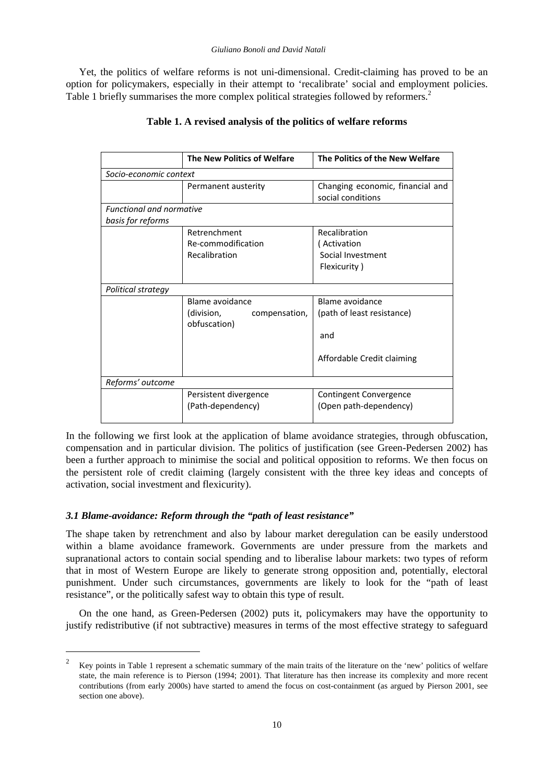Yet, the politics of welfare reforms is not uni-dimensional. Credit-claiming has proved to be an option for policymakers, especially in their attempt to 'recalibrate' social and employment policies. Table 1 briefly summarises the more complex political strategies followed by reformers.<sup>2</sup>

|                                 | <b>The New Politics of Welfare</b> | The Politics of the New Welfare                       |
|---------------------------------|------------------------------------|-------------------------------------------------------|
| Socio-economic context          |                                    |                                                       |
|                                 | Permanent austerity                | Changing economic, financial and<br>social conditions |
| <b>Functional and normative</b> |                                    |                                                       |
| basis for reforms               |                                    |                                                       |
|                                 | Retrenchment                       | Recalibration                                         |
|                                 | Re-commodification                 | (Activation                                           |
|                                 | Recalibration                      | Social Investment                                     |
|                                 |                                    | Flexicurity)                                          |
|                                 |                                    |                                                       |
| Political strategy              |                                    |                                                       |
|                                 | Blame avoidance                    | Blame avoidance                                       |
|                                 | (division,<br>compensation,        | (path of least resistance)                            |
|                                 | obfuscation)                       |                                                       |
|                                 |                                    | and                                                   |
|                                 |                                    |                                                       |
|                                 |                                    | Affordable Credit claiming                            |
| Reforms' outcome                |                                    |                                                       |
|                                 | Persistent divergence              | Contingent Convergence                                |
|                                 | (Path-dependency)                  | (Open path-dependency)                                |

## **Table 1. A revised analysis of the politics of welfare reforms**

In the following we first look at the application of blame avoidance strategies, through obfuscation, compensation and in particular division. The politics of justification (see Green-Pedersen 2002) has been a further approach to minimise the social and political opposition to reforms. We then focus on the persistent role of credit claiming (largely consistent with the three key ideas and concepts of activation, social investment and flexicurity).

## *3.1 Blame-avoidance: Reform through the "path of least resistance"*

1

The shape taken by retrenchment and also by labour market deregulation can be easily understood within a blame avoidance framework. Governments are under pressure from the markets and supranational actors to contain social spending and to liberalise labour markets: two types of reform that in most of Western Europe are likely to generate strong opposition and, potentially, electoral punishment. Under such circumstances, governments are likely to look for the "path of least resistance", or the politically safest way to obtain this type of result.

On the one hand, as Green-Pedersen (2002) puts it, policymakers may have the opportunity to justify redistributive (if not subtractive) measures in terms of the most effective strategy to safeguard

<sup>2</sup> Key points in Table 1 represent a schematic summary of the main traits of the literature on the 'new' politics of welfare state, the main reference is to Pierson (1994; 2001). That literature has then increase its complexity and more recent contributions (from early 2000s) have started to amend the focus on cost-containment (as argued by Pierson 2001, see section one above).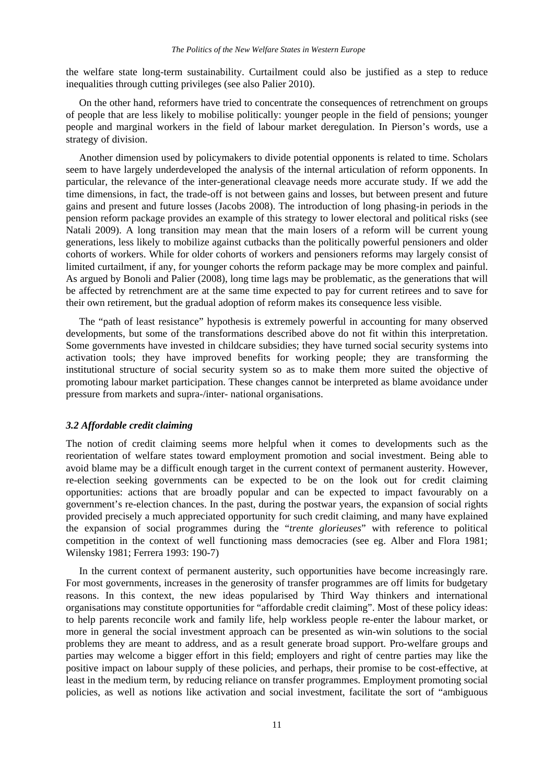the welfare state long-term sustainability. Curtailment could also be justified as a step to reduce inequalities through cutting privileges (see also Palier 2010).

On the other hand, reformers have tried to concentrate the consequences of retrenchment on groups of people that are less likely to mobilise politically: younger people in the field of pensions; younger people and marginal workers in the field of labour market deregulation. In Pierson's words, use a strategy of division.

Another dimension used by policymakers to divide potential opponents is related to time. Scholars seem to have largely underdeveloped the analysis of the internal articulation of reform opponents. In particular, the relevance of the inter-generational cleavage needs more accurate study. If we add the time dimensions, in fact, the trade-off is not between gains and losses, but between present and future gains and present and future losses (Jacobs 2008). The introduction of long phasing-in periods in the pension reform package provides an example of this strategy to lower electoral and political risks (see Natali 2009). A long transition may mean that the main losers of a reform will be current young generations, less likely to mobilize against cutbacks than the politically powerful pensioners and older cohorts of workers. While for older cohorts of workers and pensioners reforms may largely consist of limited curtailment, if any, for younger cohorts the reform package may be more complex and painful. As argued by Bonoli and Palier (2008), long time lags may be problematic, as the generations that will be affected by retrenchment are at the same time expected to pay for current retirees and to save for their own retirement, but the gradual adoption of reform makes its consequence less visible.

The "path of least resistance" hypothesis is extremely powerful in accounting for many observed developments, but some of the transformations described above do not fit within this interpretation. Some governments have invested in childcare subsidies; they have turned social security systems into activation tools; they have improved benefits for working people; they are transforming the institutional structure of social security system so as to make them more suited the objective of promoting labour market participation. These changes cannot be interpreted as blame avoidance under pressure from markets and supra-/inter- national organisations.

## *3.2 Affordable credit claiming*

The notion of credit claiming seems more helpful when it comes to developments such as the reorientation of welfare states toward employment promotion and social investment. Being able to avoid blame may be a difficult enough target in the current context of permanent austerity. However, re-election seeking governments can be expected to be on the look out for credit claiming opportunities: actions that are broadly popular and can be expected to impact favourably on a government's re-election chances. In the past, during the postwar years, the expansion of social rights provided precisely a much appreciated opportunity for such credit claiming, and many have explained the expansion of social programmes during the "*trente glorieuses*" with reference to political competition in the context of well functioning mass democracies (see eg. Alber and Flora 1981; Wilensky 1981; Ferrera 1993: 190-7)

In the current context of permanent austerity, such opportunities have become increasingly rare. For most governments, increases in the generosity of transfer programmes are off limits for budgetary reasons. In this context, the new ideas popularised by Third Way thinkers and international organisations may constitute opportunities for "affordable credit claiming". Most of these policy ideas: to help parents reconcile work and family life, help workless people re-enter the labour market, or more in general the social investment approach can be presented as win-win solutions to the social problems they are meant to address, and as a result generate broad support. Pro-welfare groups and parties may welcome a bigger effort in this field; employers and right of centre parties may like the positive impact on labour supply of these policies, and perhaps, their promise to be cost-effective, at least in the medium term, by reducing reliance on transfer programmes. Employment promoting social policies, as well as notions like activation and social investment, facilitate the sort of "ambiguous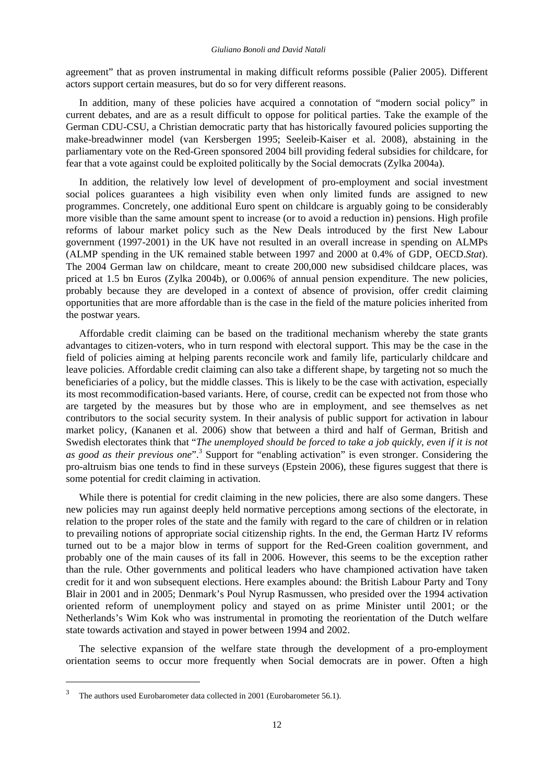agreement" that as proven instrumental in making difficult reforms possible (Palier 2005). Different actors support certain measures, but do so for very different reasons.

In addition, many of these policies have acquired a connotation of "modern social policy" in current debates, and are as a result difficult to oppose for political parties. Take the example of the German CDU-CSU, a Christian democratic party that has historically favoured policies supporting the make-breadwinner model (van Kersbergen 1995; Seeleib-Kaiser et al. 2008), abstaining in the parliamentary vote on the Red-Green sponsored 2004 bill providing federal subsidies for childcare, for fear that a vote against could be exploited politically by the Social democrats (Zylka 2004a).

In addition, the relatively low level of development of pro-employment and social investment social polices guarantees a high visibility even when only limited funds are assigned to new programmes. Concretely, one additional Euro spent on childcare is arguably going to be considerably more visible than the same amount spent to increase (or to avoid a reduction in) pensions. High profile reforms of labour market policy such as the New Deals introduced by the first New Labour government (1997-2001) in the UK have not resulted in an overall increase in spending on ALMPs (ALMP spending in the UK remained stable between 1997 and 2000 at 0.4% of GDP, OECD.*Stat*). The 2004 German law on childcare, meant to create 200,000 new subsidised childcare places, was priced at 1.5 bn Euros (Zylka 2004b), or 0.006% of annual pension expenditure. The new policies, probably because they are developed in a context of absence of provision, offer credit claiming opportunities that are more affordable than is the case in the field of the mature policies inherited from the postwar years.

Affordable credit claiming can be based on the traditional mechanism whereby the state grants advantages to citizen-voters, who in turn respond with electoral support. This may be the case in the field of policies aiming at helping parents reconcile work and family life, particularly childcare and leave policies. Affordable credit claiming can also take a different shape, by targeting not so much the beneficiaries of a policy, but the middle classes. This is likely to be the case with activation, especially its most recommodification-based variants. Here, of course, credit can be expected not from those who are targeted by the measures but by those who are in employment, and see themselves as net contributors to the social security system. In their analysis of public support for activation in labour market policy, (Kananen et al. 2006) show that between a third and half of German, British and Swedish electorates think that "*The unemployed should be forced to take a job quickly, even if it is not*  as good as their previous one".<sup>3</sup> Support for "enabling activation" is even stronger. Considering the pro-altruism bias one tends to find in these surveys (Epstein 2006), these figures suggest that there is some potential for credit claiming in activation.

While there is potential for credit claiming in the new policies, there are also some dangers. These new policies may run against deeply held normative perceptions among sections of the electorate, in relation to the proper roles of the state and the family with regard to the care of children or in relation to prevailing notions of appropriate social citizenship rights. In the end, the German Hartz IV reforms turned out to be a major blow in terms of support for the Red-Green coalition government, and probably one of the main causes of its fall in 2006. However, this seems to be the exception rather than the rule. Other governments and political leaders who have championed activation have taken credit for it and won subsequent elections. Here examples abound: the British Labour Party and Tony Blair in 2001 and in 2005; Denmark's Poul Nyrup Rasmussen, who presided over the 1994 activation oriented reform of unemployment policy and stayed on as prime Minister until 2001; or the Netherlands's Wim Kok who was instrumental in promoting the reorientation of the Dutch welfare state towards activation and stayed in power between 1994 and 2002.

The selective expansion of the welfare state through the development of a pro-employment orientation seems to occur more frequently when Social democrats are in power. Often a high

1

<sup>3</sup> The authors used Eurobarometer data collected in 2001 (Eurobarometer 56.1).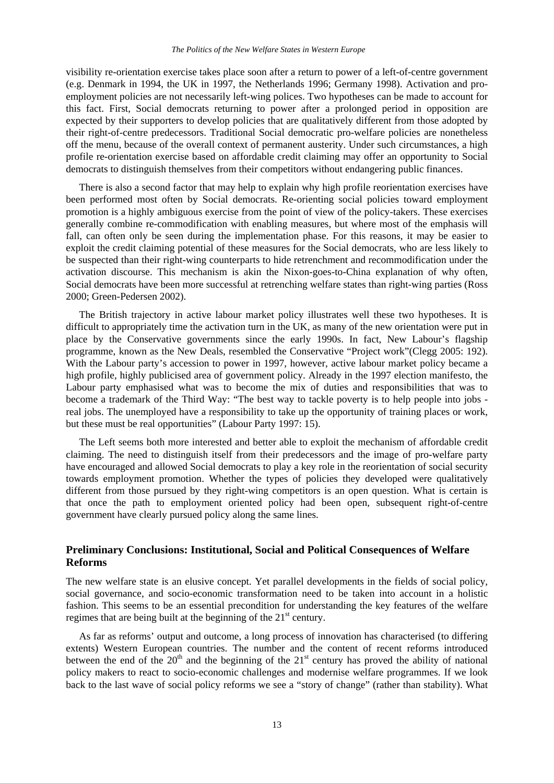visibility re-orientation exercise takes place soon after a return to power of a left-of-centre government (e.g. Denmark in 1994, the UK in 1997, the Netherlands 1996; Germany 1998). Activation and proemployment policies are not necessarily left-wing polices. Two hypotheses can be made to account for this fact. First, Social democrats returning to power after a prolonged period in opposition are expected by their supporters to develop policies that are qualitatively different from those adopted by their right-of-centre predecessors. Traditional Social democratic pro-welfare policies are nonetheless off the menu, because of the overall context of permanent austerity. Under such circumstances, a high profile re-orientation exercise based on affordable credit claiming may offer an opportunity to Social democrats to distinguish themselves from their competitors without endangering public finances.

There is also a second factor that may help to explain why high profile reorientation exercises have been performed most often by Social democrats. Re-orienting social policies toward employment promotion is a highly ambiguous exercise from the point of view of the policy-takers. These exercises generally combine re-commodification with enabling measures, but where most of the emphasis will fall, can often only be seen during the implementation phase. For this reasons, it may be easier to exploit the credit claiming potential of these measures for the Social democrats, who are less likely to be suspected than their right-wing counterparts to hide retrenchment and recommodification under the activation discourse. This mechanism is akin the Nixon-goes-to-China explanation of why often, Social democrats have been more successful at retrenching welfare states than right-wing parties (Ross 2000; Green-Pedersen 2002).

The British trajectory in active labour market policy illustrates well these two hypotheses. It is difficult to appropriately time the activation turn in the UK, as many of the new orientation were put in place by the Conservative governments since the early 1990s. In fact, New Labour's flagship programme, known as the New Deals, resembled the Conservative "Project work"(Clegg 2005: 192). With the Labour party's accession to power in 1997, however, active labour market policy became a high profile, highly publicised area of government policy. Already in the 1997 election manifesto, the Labour party emphasised what was to become the mix of duties and responsibilities that was to become a trademark of the Third Way: "The best way to tackle poverty is to help people into jobs real jobs. The unemployed have a responsibility to take up the opportunity of training places or work, but these must be real opportunities" (Labour Party 1997: 15).

The Left seems both more interested and better able to exploit the mechanism of affordable credit claiming. The need to distinguish itself from their predecessors and the image of pro-welfare party have encouraged and allowed Social democrats to play a key role in the reorientation of social security towards employment promotion. Whether the types of policies they developed were qualitatively different from those pursued by they right-wing competitors is an open question. What is certain is that once the path to employment oriented policy had been open, subsequent right-of-centre government have clearly pursued policy along the same lines.

## **Preliminary Conclusions: Institutional, Social and Political Consequences of Welfare Reforms**

The new welfare state is an elusive concept. Yet parallel developments in the fields of social policy, social governance, and socio-economic transformation need to be taken into account in a holistic fashion. This seems to be an essential precondition for understanding the key features of the welfare regimes that are being built at the beginning of the  $21<sup>st</sup>$  century.

As far as reforms' output and outcome, a long process of innovation has characterised (to differing extents) Western European countries. The number and the content of recent reforms introduced between the end of the  $20<sup>th</sup>$  and the beginning of the  $21<sup>st</sup>$  century has proved the ability of national policy makers to react to socio-economic challenges and modernise welfare programmes. If we look back to the last wave of social policy reforms we see a "story of change" (rather than stability). What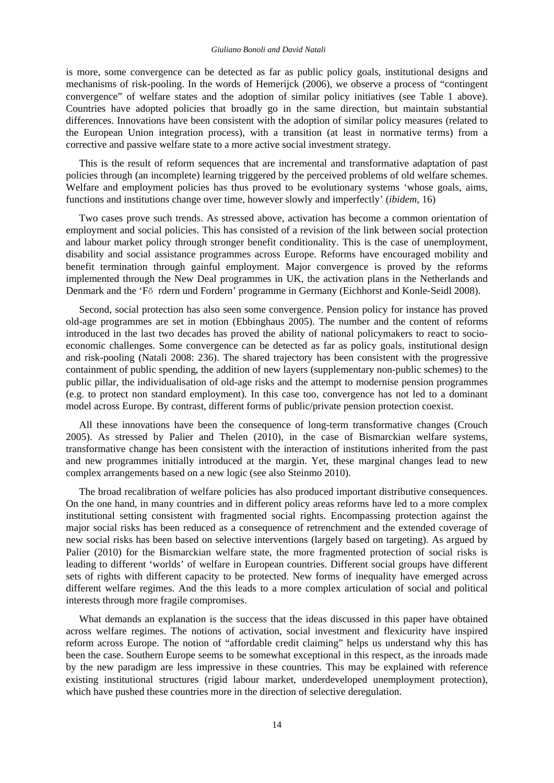is more, some convergence can be detected as far as public policy goals, institutional designs and mechanisms of risk-pooling. In the words of Hemerijck (2006), we observe a process of "contingent convergence" of welfare states and the adoption of similar policy initiatives (see Table 1 above). Countries have adopted policies that broadly go in the same direction, but maintain substantial differences. Innovations have been consistent with the adoption of similar policy measures (related to the European Union integration process), with a transition (at least in normative terms) from a corrective and passive welfare state to a more active social investment strategy.

This is the result of reform sequences that are incremental and transformative adaptation of past policies through (an incomplete) learning triggered by the perceived problems of old welfare schemes. Welfare and employment policies has thus proved to be evolutionary systems 'whose goals, aims, functions and institutions change over time, however slowly and imperfectly' (*ibidem*, 16)

Two cases prove such trends. As stressed above, activation has become a common orientation of employment and social policies. This has consisted of a revision of the link between social protection and labour market policy through stronger benefit conditionality. This is the case of unemployment, disability and social assistance programmes across Europe. Reforms have encouraged mobility and benefit termination through gainful employment. Major convergence is proved by the reforms implemented through the New Deal programmes in UK, the activation plans in the Netherlands and Denmark and the 'Fӧ rdern und Fordern' programme in Germany (Eichhorst and Konle-Seidl 2008).

Second, social protection has also seen some convergence. Pension policy for instance has proved old-age programmes are set in motion (Ebbinghaus 2005). The number and the content of reforms introduced in the last two decades has proved the ability of national policymakers to react to socioeconomic challenges. Some convergence can be detected as far as policy goals, institutional design and risk-pooling (Natali 2008: 236). The shared trajectory has been consistent with the progressive containment of public spending, the addition of new layers (supplementary non-public schemes) to the public pillar, the individualisation of old-age risks and the attempt to modernise pension programmes (e.g. to protect non standard employment). In this case too, convergence has not led to a dominant model across Europe. By contrast, different forms of public/private pension protection coexist.

All these innovations have been the consequence of long-term transformative changes (Crouch 2005). As stressed by Palier and Thelen (2010), in the case of Bismarckian welfare systems, transformative change has been consistent with the interaction of institutions inherited from the past and new programmes initially introduced at the margin. Yet, these marginal changes lead to new complex arrangements based on a new logic (see also Steinmo 2010).

The broad recalibration of welfare policies has also produced important distributive consequences. On the one hand, in many countries and in different policy areas reforms have led to a more complex institutional setting consistent with fragmented social rights. Encompassing protection against the major social risks has been reduced as a consequence of retrenchment and the extended coverage of new social risks has been based on selective interventions (largely based on targeting). As argued by Palier (2010) for the Bismarckian welfare state, the more fragmented protection of social risks is leading to different 'worlds' of welfare in European countries. Different social groups have different sets of rights with different capacity to be protected. New forms of inequality have emerged across different welfare regimes. And the this leads to a more complex articulation of social and political interests through more fragile compromises.

What demands an explanation is the success that the ideas discussed in this paper have obtained across welfare regimes. The notions of activation, social investment and flexicurity have inspired reform across Europe. The notion of "affordable credit claiming" helps us understand why this has been the case. Southern Europe seems to be somewhat exceptional in this respect, as the inroads made by the new paradigm are less impressive in these countries. This may be explained with reference existing institutional structures (rigid labour market, underdeveloped unemployment protection), which have pushed these countries more in the direction of selective deregulation.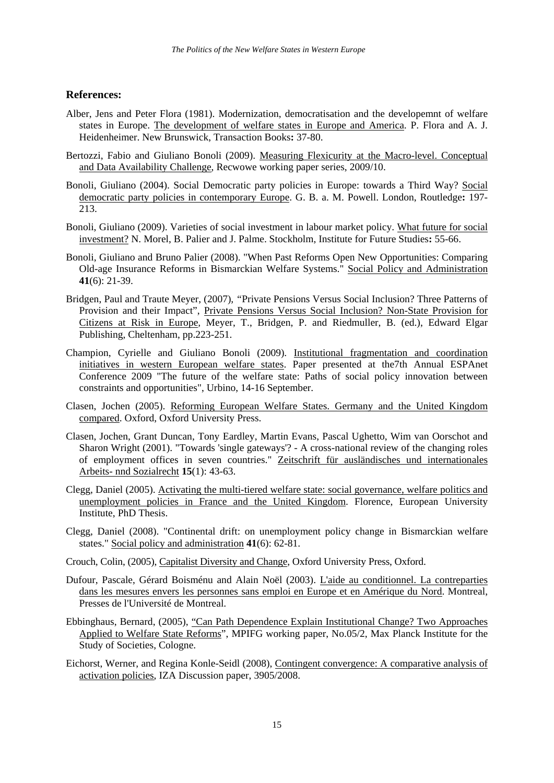## **References:**

- Alber, Jens and Peter Flora (1981). Modernization, democratisation and the developemnt of welfare states in Europe. The development of welfare states in Europe and America. P. Flora and A. J. Heidenheimer. New Brunswick, Transaction Books**:** 37-80.
- Bertozzi, Fabio and Giuliano Bonoli (2009). Measuring Flexicurity at the Macro-level. Conceptual and Data Availability Challenge, Recwowe working paper series, 2009/10.
- Bonoli, Giuliano (2004). Social Democratic party policies in Europe: towards a Third Way? Social democratic party policies in contemporary Europe. G. B. a. M. Powell. London, Routledge**:** 197- 213.
- Bonoli, Giuliano (2009). Varieties of social investment in labour market policy. What future for social investment? N. Morel, B. Palier and J. Palme. Stockholm, Institute for Future Studies**:** 55-66.
- Bonoli, Giuliano and Bruno Palier (2008). "When Past Reforms Open New Opportunities: Comparing Old-age Insurance Reforms in Bismarckian Welfare Systems." Social Policy and Administration **41**(6): 21-39.
- Bridgen, Paul and Traute Meyer, (2007)*, "*Private Pensions Versus Social Inclusion? Three Patterns of Provision and their Impact", Private Pensions Versus Social Inclusion? Non-State Provision for Citizens at Risk in Europe*,* Meyer, T., Bridgen, P. and Riedmuller, B. (ed.), Edward Elgar Publishing, Cheltenham, pp.223-251.
- Champion, Cyrielle and Giuliano Bonoli (2009). Institutional fragmentation and coordination initiatives in western European welfare states. Paper presented at the7th Annual ESPAnet Conference 2009 "The future of the welfare state: Paths of social policy innovation between constraints and opportunities", Urbino, 14-16 September.
- Clasen, Jochen (2005). Reforming European Welfare States. Germany and the United Kingdom compared. Oxford, Oxford University Press.
- Clasen, Jochen, Grant Duncan, Tony Eardley, Martin Evans, Pascal Ughetto, Wim van Oorschot and Sharon Wright (2001). "Towards 'single gateways'? - A cross-national review of the changing roles of employment offices in seven countries." Zeitschrift für ausländisches und internationales Arbeits- nnd Sozialrecht **15**(1): 43-63.
- Clegg, Daniel (2005). Activating the multi-tiered welfare state: social governance, welfare politics and unemployment policies in France and the United Kingdom. Florence, European University Institute, PhD Thesis.
- Clegg, Daniel (2008). "Continental drift: on unemployment policy change in Bismarckian welfare states." Social policy and administration **41**(6): 62-81.
- Crouch, Colin, (2005), Capitalist Diversity and Change, Oxford University Press, Oxford.
- Dufour, Pascale, Gérard Boisménu and Alain Noël (2003). L'aide au conditionnel. La contreparties dans les mesures envers les personnes sans emploi en Europe et en Amérique du Nord. Montreal, Presses de l'Université de Montreal.
- Ebbinghaus, Bernard, (2005), "Can Path Dependence Explain Institutional Change? Two Approaches Applied to Welfare State Reforms", MPIFG working paper, No.05/2, Max Planck Institute for the Study of Societies, Cologne.
- Eichorst, Werner, and Regina Konle-Seidl (2008), Contingent convergence: A comparative analysis of activation policies, IZA Discussion paper, 3905/2008.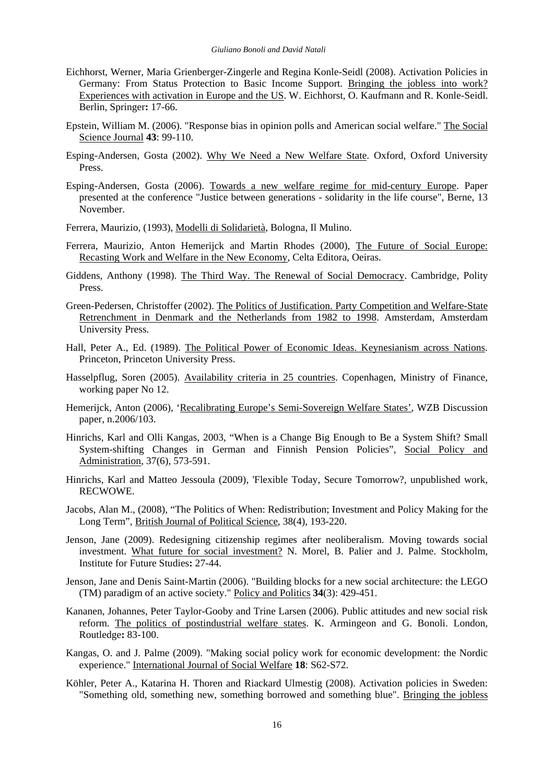- Eichhorst, Werner, Maria Grienberger-Zingerle and Regina Konle-Seidl (2008). Activation Policies in Germany: From Status Protection to Basic Income Support. Bringing the jobless into work? Experiences with activation in Europe and the US. W. Eichhorst, O. Kaufmann and R. Konle-Seidl. Berlin, Springer**:** 17-66.
- Epstein, William M. (2006). "Response bias in opinion polls and American social welfare." The Social Science Journal **43**: 99-110.
- Esping-Andersen, Gosta (2002). Why We Need a New Welfare State. Oxford, Oxford University Press.
- Esping-Andersen, Gosta (2006). Towards a new welfare regime for mid-century Europe. Paper presented at the conference "Justice between generations - solidarity in the life course", Berne, 13 November.

Ferrera, Maurizio, (1993), Modelli di Solidarietà, Bologna, Il Mulino.

- Ferrera, Maurizio, Anton Hemerijck and Martin Rhodes (2000), The Future of Social Europe: Recasting Work and Welfare in the New Economy, Celta Editora, Oeiras.
- Giddens, Anthony (1998). The Third Way. The Renewal of Social Democracy. Cambridge, Polity Press.
- Green-Pedersen, Christoffer (2002). The Politics of Justification. Party Competition and Welfare-State Retrenchment in Denmark and the Netherlands from 1982 to 1998. Amsterdam, Amsterdam University Press.
- Hall, Peter A., Ed. (1989). The Political Power of Economic Ideas. Keynesianism across Nations. Princeton, Princeton University Press.
- Hasselpflug, Soren (2005). Availability criteria in 25 countries. Copenhagen, Ministry of Finance, working paper No 12.
- Hemerijck, Anton (2006), 'Recalibrating Europe's Semi-Sovereign Welfare States', WZB Discussion paper, n.2006/103.
- Hinrichs, Karl and Olli Kangas, 2003, "When is a Change Big Enough to Be a System Shift? Small System-shifting Changes in German and Finnish Pension Policies", Social Policy and Administration, 37(6), 573-591.
- Hinrichs, Karl and Matteo Jessoula (2009), 'Flexible Today, Secure Tomorrow?, unpublished work, RECWOWE.
- Jacobs, Alan M., (2008), "The Politics of When: Redistribution; Investment and Policy Making for the Long Term", British Journal of Political Science, 38(4), 193-220.
- Jenson, Jane (2009). Redesigning citizenship regimes after neoliberalism. Moving towards social investment. What future for social investment? N. Morel, B. Palier and J. Palme. Stockholm, Institute for Future Studies**:** 27-44.
- Jenson, Jane and Denis Saint-Martin (2006). "Building blocks for a new social architecture: the LEGO (TM) paradigm of an active society." Policy and Politics **34**(3): 429-451.
- Kananen, Johannes, Peter Taylor-Gooby and Trine Larsen (2006). Public attitudes and new social risk reform. The politics of postindustrial welfare states. K. Armingeon and G. Bonoli. London, Routledge**:** 83-100.
- Kangas, O. and J. Palme (2009). "Making social policy work for economic development: the Nordic experience." International Journal of Social Welfare **18**: S62-S72.
- Köhler, Peter A., Katarina H. Thoren and Riackard Ulmestig (2008). Activation policies in Sweden: "Something old, something new, something borrowed and something blue". Bringing the jobless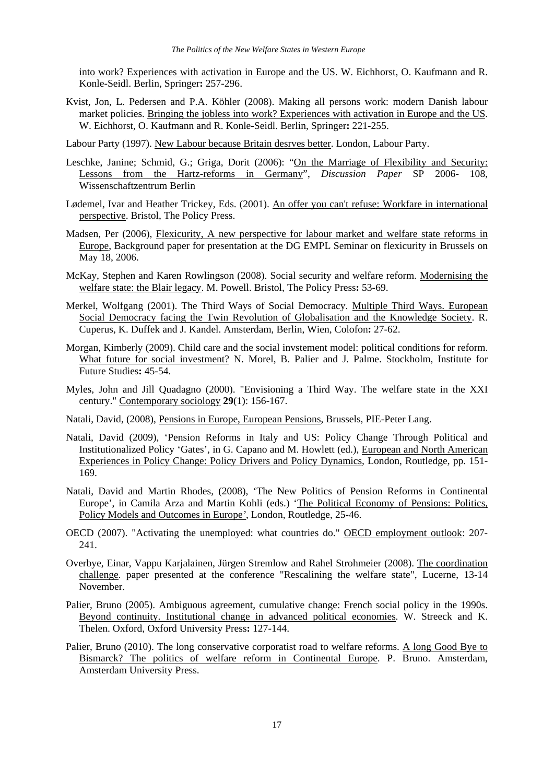into work? Experiences with activation in Europe and the US. W. Eichhorst, O. Kaufmann and R. Konle-Seidl. Berlin, Springer**:** 257-296.

- Kvist, Jon, L. Pedersen and P.A. Köhler (2008). Making all persons work: modern Danish labour market policies. Bringing the jobless into work? Experiences with activation in Europe and the US. W. Eichhorst, O. Kaufmann and R. Konle-Seidl. Berlin, Springer**:** 221-255.
- Labour Party (1997). New Labour because Britain desrves better. London, Labour Party.
- Leschke, Janine; Schmid, G.; Griga, Dorit (2006): "On the Marriage of Flexibility and Security: Lessons from the Hartz-reforms in Germany", *Discussion Paper* SP 2006- 108, Wissenschaftzentrum Berlin
- Lødemel, Ivar and Heather Trickey, Eds. (2001). An offer you can't refuse: Workfare in international perspective. Bristol, The Policy Press.
- Madsen, Per (2006), Flexicurity, A new perspective for labour market and welfare state reforms in Europe, Background paper for presentation at the DG EMPL Seminar on flexicurity in Brussels on May 18, 2006.
- McKay, Stephen and Karen Rowlingson (2008). Social security and welfare reform. Modernising the welfare state: the Blair legacy. M. Powell. Bristol, The Policy Press**:** 53-69.
- Merkel, Wolfgang (2001). The Third Ways of Social Democracy. Multiple Third Ways. European Social Democracy facing the Twin Revolution of Globalisation and the Knowledge Society. R. Cuperus, K. Duffek and J. Kandel. Amsterdam, Berlin, Wien, Colofon**:** 27-62.
- Morgan, Kimberly (2009). Child care and the social invstement model: political conditions for reform. What future for social investment? N. Morel, B. Palier and J. Palme. Stockholm, Institute for Future Studies**:** 45-54.
- Myles, John and Jill Quadagno (2000). "Envisioning a Third Way. The welfare state in the XXI century." Contemporary sociology **29**(1): 156-167.
- Natali, David, (2008), Pensions in Europe, European Pensions, Brussels, PIE-Peter Lang.
- Natali, David (2009), 'Pension Reforms in Italy and US: Policy Change Through Political and Institutionalized Policy 'Gates', in G. Capano and M. Howlett (ed.), European and North American Experiences in Policy Change: Policy Drivers and Policy Dynamics*,* London, Routledge, pp. 151- 169.
- Natali, David and Martin Rhodes, (2008), 'The New Politics of Pension Reforms in Continental Europe', in Camila Arza and Martin Kohli (eds.) 'The Political Economy of Pensions: Politics, Policy Models and Outcomes in Europe*'*, London, Routledge, 25-46.
- OECD (2007). "Activating the unemployed: what countries do." OECD employment outlook: 207- 241.
- Overbye, Einar, Vappu Karjalainen, Jürgen Stremlow and Rahel Strohmeier (2008). The coordination challenge. paper presented at the conference "Rescalining the welfare state", Lucerne, 13-14 November.
- Palier, Bruno (2005). Ambiguous agreement, cumulative change: French social policy in the 1990s. Beyond continuity. Institutional change in advanced political economies. W. Streeck and K. Thelen. Oxford, Oxford University Press**:** 127-144.
- Palier, Bruno (2010). The long conservative corporatist road to welfare reforms. A long Good Bye to Bismarck? The politics of welfare reform in Continental Europe. P. Bruno. Amsterdam, Amsterdam University Press.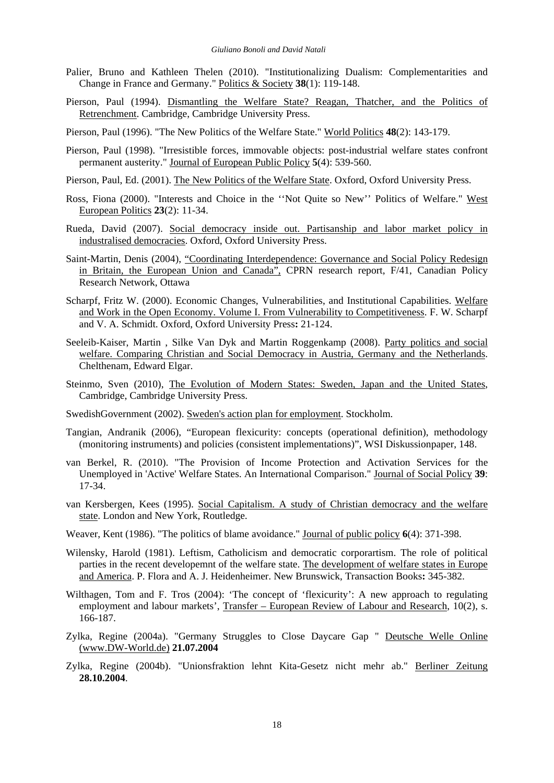- Palier, Bruno and Kathleen Thelen (2010). "Institutionalizing Dualism: Complementarities and Change in France and Germany." Politics & Society **38**(1): 119-148.
- Pierson, Paul (1994). Dismantling the Welfare State? Reagan, Thatcher, and the Politics of Retrenchment. Cambridge, Cambridge University Press.
- Pierson, Paul (1996). "The New Politics of the Welfare State." World Politics **48**(2): 143-179.
- Pierson, Paul (1998). "Irresistible forces, immovable objects: post-industrial welfare states confront permanent austerity." Journal of European Public Policy **5**(4): 539-560.
- Pierson, Paul, Ed. (2001). The New Politics of the Welfare State. Oxford, Oxford University Press.
- Ross, Fiona (2000). "Interests and Choice in the ''Not Quite so New'' Politics of Welfare." West European Politics **23**(2): 11-34.
- Rueda, David (2007). Social democracy inside out. Partisanship and labor market policy in industralised democracies. Oxford, Oxford University Press.
- Saint-Martin, Denis (2004), "Coordinating Interdependence: Governance and Social Policy Redesign in Britain, the European Union and Canada", CPRN research report, F/41, Canadian Policy Research Network, Ottawa
- Scharpf, Fritz W. (2000). Economic Changes, Vulnerabilities, and Institutional Capabilities. Welfare and Work in the Open Economy. Volume I. From Vulnerability to Competitiveness. F. W. Scharpf and V. A. Schmidt. Oxford, Oxford University Press**:** 21-124.
- Seeleib-Kaiser, Martin , Silke Van Dyk and Martin Roggenkamp (2008). Party politics and social welfare. Comparing Christian and Social Democracy in Austria, Germany and the Netherlands. Chelthenam, Edward Elgar.
- Steinmo, Sven (2010), The Evolution of Modern States: Sweden, Japan and the United States, Cambridge, Cambridge University Press.
- SwedishGovernment (2002). Sweden's action plan for employment. Stockholm.
- Tangian, Andranik (2006), "European flexicurity: concepts (operational definition), methodology (monitoring instruments) and policies (consistent implementations)", WSI Diskussionpaper, 148.
- van Berkel, R. (2010). "The Provision of Income Protection and Activation Services for the Unemployed in 'Active' Welfare States. An International Comparison." Journal of Social Policy **39**: 17-34.
- van Kersbergen, Kees (1995). Social Capitalism. A study of Christian democracy and the welfare state. London and New York, Routledge.
- Weaver, Kent (1986). "The politics of blame avoidance." Journal of public policy **6**(4): 371-398.
- Wilensky, Harold (1981). Leftism, Catholicism and democratic corporartism. The role of political parties in the recent developemnt of the welfare state. The development of welfare states in Europe and America. P. Flora and A. J. Heidenheimer. New Brunswick, Transaction Books**:** 345-382.
- Wilthagen, Tom and F. Tros (2004): 'The concept of 'flexicurity': A new approach to regulating employment and labour markets', Transfer – European Review of Labour and Research, 10(2), s. 166-187.
- Zylka, Regine (2004a). "Germany Struggles to Close Daycare Gap " Deutsche Welle Online ([www.DW-World.de\)](http://www.DW-World.de) **21.07.2004**
- Zylka, Regine (2004b). "Unionsfraktion lehnt Kita-Gesetz nicht mehr ab." Berliner Zeitung **28.10.2004**.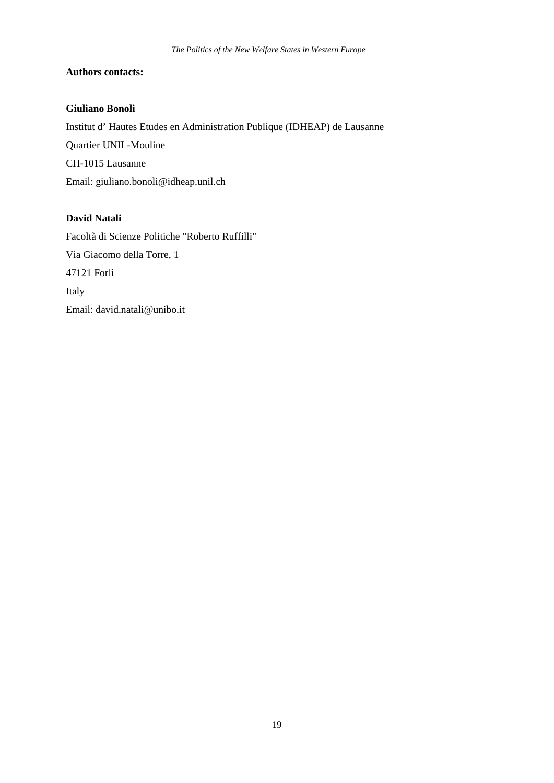## **Authors contacts:**

## **Giuliano Bonoli**

Institut d' Hautes Etudes en Administration Publique (IDHEAP) de Lausanne Quartier UNIL-Mouline CH-1015 Lausanne Email: [giuliano.bonoli@idheap.unil.ch](mailto:giuliano.bonoli@idheap.unil.ch) 

## **David Natali**

Facoltà di Scienze Politiche "Roberto Ruffilli" Via Giacomo della Torre, 1 47121 Forlì Italy Email: [david.natali@unibo.it](mailto:david.natali@unibo.it)